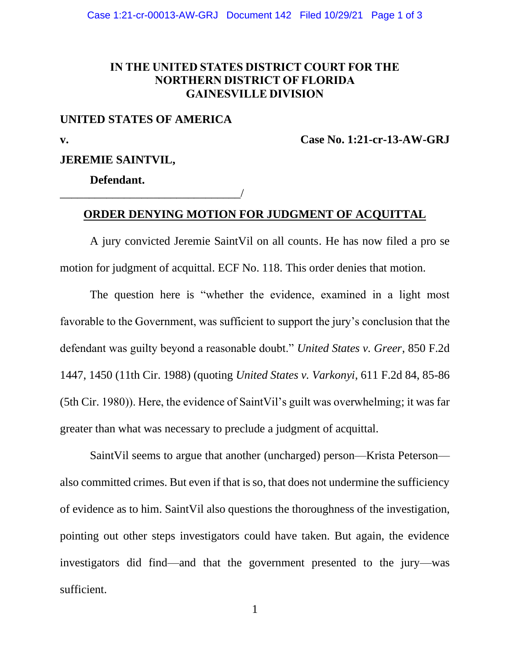## **IN THE UNITED STATES DISTRICT COURT FOR THE NORTHERN DISTRICT OF FLORIDA GAINESVILLE DIVISION**

## **UNITED STATES OF AMERICA**

\_\_\_\_\_\_\_\_\_\_\_\_\_\_\_\_\_\_\_\_\_\_\_\_\_\_\_\_\_\_\_/

**v. Case No. 1:21-cr-13-AW-GRJ**

## **JEREMIE SAINTVIL,**

**Defendant.**

## **ORDER DENYING MOTION FOR JUDGMENT OF ACQUITTAL**

A jury convicted Jeremie SaintVil on all counts. He has now filed a pro se motion for judgment of acquittal. ECF No. 118. This order denies that motion.

The question here is "whether the evidence, examined in a light most favorable to the Government, was sufficient to support the jury's conclusion that the defendant was guilty beyond a reasonable doubt." *United States v. Greer*, 850 F.2d 1447, 1450 (11th Cir. 1988) (quoting *United States v. Varkonyi*, 611 F.2d 84, 85-86 (5th Cir. 1980)). Here, the evidence of SaintVil's guilt was overwhelming; it was far greater than what was necessary to preclude a judgment of acquittal.

SaintVil seems to argue that another (uncharged) person—Krista Peterson also committed crimes. But even if that is so, that does not undermine the sufficiency of evidence as to him. SaintVil also questions the thoroughness of the investigation, pointing out other steps investigators could have taken. But again, the evidence investigators did find—and that the government presented to the jury—was sufficient.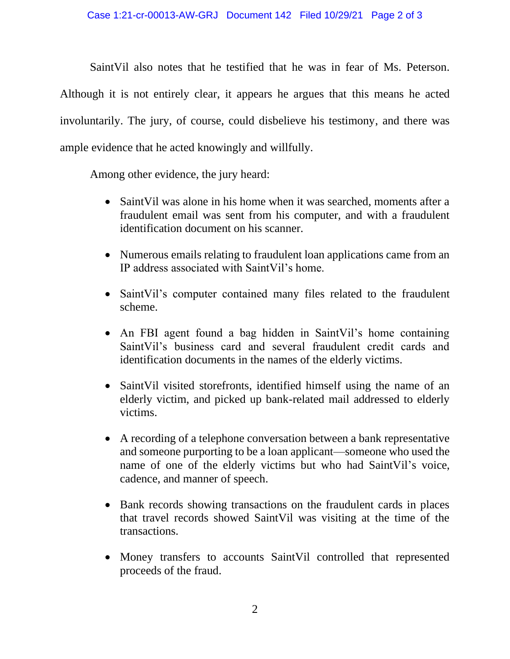SaintVil also notes that he testified that he was in fear of Ms. Peterson. Although it is not entirely clear, it appears he argues that this means he acted involuntarily. The jury, of course, could disbelieve his testimony, and there was ample evidence that he acted knowingly and willfully.

Among other evidence, the jury heard:

- SaintVil was alone in his home when it was searched, moments after a fraudulent email was sent from his computer, and with a fraudulent identification document on his scanner.
- Numerous emails relating to fraudulent loan applications came from an IP address associated with SaintVil's home.
- SaintVil's computer contained many files related to the fraudulent scheme.
- An FBI agent found a bag hidden in SaintVil's home containing SaintVil's business card and several fraudulent credit cards and identification documents in the names of the elderly victims.
- SaintVil visited storefronts, identified himself using the name of an elderly victim, and picked up bank-related mail addressed to elderly victims.
- A recording of a telephone conversation between a bank representative and someone purporting to be a loan applicant—someone who used the name of one of the elderly victims but who had SaintVil's voice, cadence, and manner of speech.
- Bank records showing transactions on the fraudulent cards in places that travel records showed SaintVil was visiting at the time of the transactions.
- Money transfers to accounts SaintVil controlled that represented proceeds of the fraud.